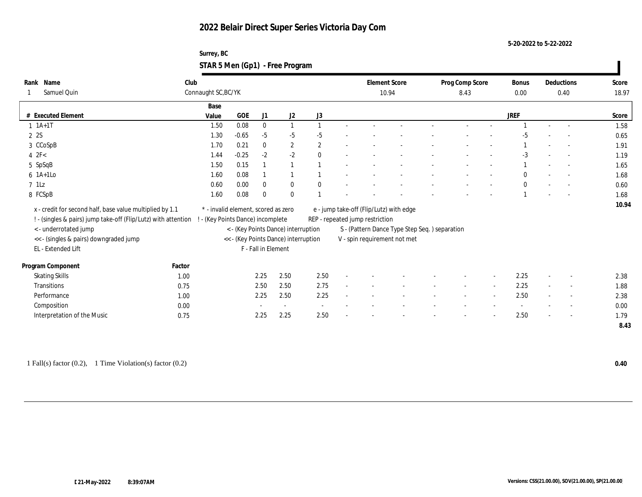### **Surrey, BC STAR 5 Men (Gp1) - Free Program**

|                                                                                                  |        |                                     | . .     |                     |                                      |              |                                               |                      |                 |                          |              |        |                          |       |
|--------------------------------------------------------------------------------------------------|--------|-------------------------------------|---------|---------------------|--------------------------------------|--------------|-----------------------------------------------|----------------------|-----------------|--------------------------|--------------|--------|--------------------------|-------|
| Name<br>Rank                                                                                     | Club   |                                     |         |                     |                                      |              |                                               | <b>Element Score</b> | Prog Comp Score |                          | Bonus        |        | Deductions               | Score |
| Samuel Quin                                                                                      |        | Connaught SC, BC/YK                 |         |                     |                                      |              | 10.94                                         |                      | 8.43            |                          | 0.00         |        | 0.40                     | 18.97 |
|                                                                                                  |        | Base                                |         |                     |                                      |              |                                               |                      |                 |                          |              |        |                          |       |
| # Executed Element                                                                               |        | Value                               | GOE     | J1                  | J2                                   | J3           |                                               |                      |                 |                          | <b>JREF</b>  |        |                          | Score |
| $1 \t1A+1T$                                                                                      |        | 1.50                                | 0.08    | $\bf{0}$            | $\mathbf{1}$                         | $\mathbf{1}$ |                                               |                      |                 |                          |              |        |                          | 1.58  |
| 2 2S                                                                                             |        | 1.30                                | $-0.65$ | $-5$                | $-5$                                 | $-5$         |                                               |                      |                 |                          | $-5$         |        |                          | 0.65  |
| 3 CCoSpB                                                                                         |        | 1.70                                | 0.21    | $\bf{0}$            | $\mathbf{2}$                         | $\mathbf{2}$ |                                               |                      |                 |                          |              |        |                          | 1.91  |
| $4$ $2F<$                                                                                        |        | 1.44                                | $-0.25$ | $-2$                | $-2$                                 | $\mathbf{0}$ |                                               |                      |                 |                          | $-3$         |        | $\overline{a}$           | 1.19  |
| 5 SpSqB                                                                                          |        | 1.50                                | 0.15    |                     | $\mathbf{1}$                         |              |                                               |                      |                 |                          |              |        | $\overline{\phantom{a}}$ | 1.65  |
| $6$ 1A+1Lo                                                                                       |        | 1.60                                | 0.08    |                     | $\overline{1}$                       |              |                                               |                      |                 |                          | $\theta$     |        | $\sim$                   | 1.68  |
| $7$ 1Lz                                                                                          |        | 0.60                                | 0.00    | $\mathbf{0}$        | $\bf{0}$                             | $\theta$     |                                               |                      |                 |                          | $\mathbf{0}$ |        |                          | 0.60  |
| 8 FCSpB                                                                                          |        | 1.60                                | 0.08    | $\mathbf{0}$        | $\bf{0}$                             |              |                                               |                      |                 |                          |              |        |                          | 1.68  |
| x - credit for second half, base value multiplied by 1.1                                         |        | * - invalid element, scored as zero |         |                     |                                      |              | e - jump take-off (Flip/Lutz) with edge       |                      |                 |                          |              |        |                          | 10.94 |
| ! - (singles & pairs) jump take-off (Flip/Lutz) with attention ! - (Key Points Dance) incomplete |        |                                     |         |                     |                                      |              | REP - repeated jump restriction               |                      |                 |                          |              |        |                          |       |
| <- underrotated jump                                                                             |        |                                     |         |                     | < - (Key Points Dance) interruption  |              | S - (Pattern Dance Type Step Seq.) separation |                      |                 |                          |              |        |                          |       |
| << - (singles & pairs) downgraded jump                                                           |        |                                     |         |                     | << - (Key Points Dance) interruption |              | V - spin requirement not met                  |                      |                 |                          |              |        |                          |       |
| EL - Extended Lift                                                                               |        |                                     |         | F - Fall in Element |                                      |              |                                               |                      |                 |                          |              |        |                          |       |
|                                                                                                  |        |                                     |         |                     |                                      |              |                                               |                      |                 |                          |              |        |                          |       |
| Program Component                                                                                | Factor |                                     |         |                     |                                      |              |                                               |                      |                 |                          |              |        |                          |       |
| <b>Skating Skills</b>                                                                            | 1.00   |                                     |         | 2.25                | 2.50                                 | 2.50         |                                               |                      |                 |                          | 2.25         |        |                          | 2.38  |
| Transitions                                                                                      | 0.75   |                                     |         | 2.50                | 2.50                                 | 2.75         |                                               |                      | $\sim$          | $\sim$                   | 2.25         | $\sim$ | $\sim$                   | 1.88  |
| Performance                                                                                      | 1.00   |                                     |         | 2.25                | 2.50                                 | 2.25         |                                               |                      |                 | $\overline{\phantom{a}}$ | 2.50         | $\sim$ | $\overline{\phantom{a}}$ | 2.38  |
| Composition                                                                                      | 0.00   |                                     |         |                     | $\sim$                               | $\sim$       |                                               |                      |                 |                          |              |        | $\overline{\phantom{a}}$ | 0.00  |
| Interpretation of the Music                                                                      | 0.75   |                                     |         | 2.25                | 2.25                                 | 2.50         |                                               |                      |                 |                          | 2.50         |        | $\sim$                   | 1.79  |
|                                                                                                  |        |                                     |         |                     |                                      |              |                                               |                      |                 |                          |              |        |                          | 8.43  |
|                                                                                                  |        |                                     |         |                     |                                      |              |                                               |                      |                 |                          |              |        |                          |       |

1 Fall(s) factor (0.2), 1 Time Violation(s) factor (0.2) **0.40**

 $\mathbf{I}$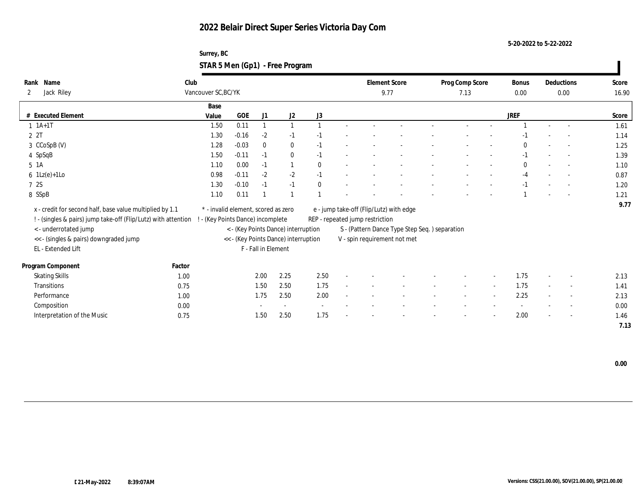**Surrey, BC STAR 5 Men (Gp1) - Free Program**

| Name<br>Rank                                                   | Club                |                                     |              |                                      |              |        |                                 | <b>Element Score</b>                          |  |                          |        |              |        | Deductions               | Score |
|----------------------------------------------------------------|---------------------|-------------------------------------|--------------|--------------------------------------|--------------|--------|---------------------------------|-----------------------------------------------|--|--------------------------|--------|--------------|--------|--------------------------|-------|
|                                                                |                     |                                     |              |                                      |              |        |                                 |                                               |  | Prog Comp Score          |        | Bonus        |        |                          |       |
| Jack Riley<br>2                                                | Vancouver SC, BC/YK |                                     |              |                                      |              |        |                                 | 9.77                                          |  | 7.13                     |        | 0.00         |        | 0.00                     | 16.90 |
|                                                                | Base                |                                     |              |                                      |              |        |                                 |                                               |  |                          |        |              |        |                          |       |
| # Executed Element                                             | Value               | <b>GOE</b>                          | J1           | J2                                   | J3           |        |                                 |                                               |  |                          |        | <b>JREF</b>  |        |                          | Score |
| $1 \t1A+1T$                                                    | 1.50                | 0.11                                |              |                                      |              |        |                                 |                                               |  |                          |        |              |        |                          | 1.61  |
| 2 2T                                                           | 1.30                | $-0.16$                             | $-2$         | $-1$                                 | $-1$         |        |                                 |                                               |  |                          |        | -1           |        | $\sim$                   | 1.14  |
| 3 CCoSpB (V)                                                   | 1.28                | $-0.03$                             | $\mathbf{0}$ | $\bf{0}$                             | $-1$         |        |                                 |                                               |  |                          |        | $\Omega$     |        | $\sim$                   | 1.25  |
| 4 SpSqB                                                        | 1.50                | $-0.11$                             | $-1$         | $\bf{0}$                             | $-1$         |        |                                 |                                               |  |                          |        | $-1$         |        | $\sim$                   | 1.39  |
| $5 \text{1A}$                                                  | 1.10                | 0.00                                | $-1$         |                                      | $\mathbf{0}$ |        |                                 |                                               |  |                          |        | $\mathbf{0}$ |        | $\sim$                   | 1.10  |
| $6 \text{ } 1\text{Lz}(e)+1\text{Lo}$                          | 0.98                | $-0.11$                             | $-2$         | $-2$                                 | $-1$         |        |                                 |                                               |  |                          |        | $-4$         |        |                          | 0.87  |
| 7 2S                                                           | 1.30                | $-0.10$                             | $-1$         | $-1$                                 | $\theta$     |        |                                 |                                               |  |                          |        | $-1$         |        | $\sim$                   | 1.20  |
| 8 SSpB                                                         | 1.10                | 0.11                                |              |                                      |              |        |                                 |                                               |  |                          |        |              |        | $\overline{a}$           | 1.21  |
| x - credit for second half, base value multiplied by 1.1       |                     | * - invalid element, scored as zero |              |                                      |              |        |                                 | e - jump take-off (Flip/Lutz) with edge       |  |                          |        |              |        |                          | 9.77  |
|                                                                |                     |                                     |              |                                      |              |        |                                 |                                               |  |                          |        |              |        |                          |       |
| ! - (singles & pairs) jump take-off (Flip/Lutz) with attention |                     | - (Key Points Dance) incomplete     |              |                                      |              |        | REP - repeated jump restriction |                                               |  |                          |        |              |        |                          |       |
| <- underrotated jump                                           |                     |                                     |              | < - (Key Points Dance) interruption  |              |        |                                 | S - (Pattern Dance Type Step Seq.) separation |  |                          |        |              |        |                          |       |
| << - (singles & pairs) downgraded jump                         |                     |                                     |              | << - (Key Points Dance) interruption |              |        |                                 | V - spin requirement not met                  |  |                          |        |              |        |                          |       |
| EL - Extended Lift                                             |                     |                                     |              | F - Fall in Element                  |              |        |                                 |                                               |  |                          |        |              |        |                          |       |
| Program Component<br>Factor                                    |                     |                                     |              |                                      |              |        |                                 |                                               |  |                          |        |              |        |                          |       |
| <b>Skating Skills</b>                                          | 1.00                |                                     | 2.00         | 2.25                                 | 2.50         |        |                                 |                                               |  |                          |        | 1.75         |        | $\overline{\phantom{a}}$ | 2.13  |
| Transitions                                                    | 0.75                |                                     | 1.50         | 2.50                                 | 1.75         | $\sim$ |                                 |                                               |  | $\overline{\phantom{a}}$ | $\sim$ | 1.75         | $\sim$ | $\sim$                   | 1.41  |
| Performance                                                    | 1.00                |                                     | 1.75         | 2.50                                 | 2.00         |        |                                 |                                               |  |                          |        | 2.25         |        | $\overline{\phantom{a}}$ | 2.13  |
| Composition                                                    | 0.00                |                                     |              |                                      |              |        |                                 |                                               |  |                          |        |              |        | $\overline{\phantom{a}}$ | 0.00  |
| Interpretation of the Music                                    | 0.75                |                                     | 1.50         | 2.50                                 | 1.75         |        |                                 |                                               |  |                          |        | 2.00         |        | $\overline{\phantom{a}}$ | 1.46  |
|                                                                |                     |                                     |              |                                      |              |        |                                 |                                               |  |                          |        |              |        |                          | 7.13  |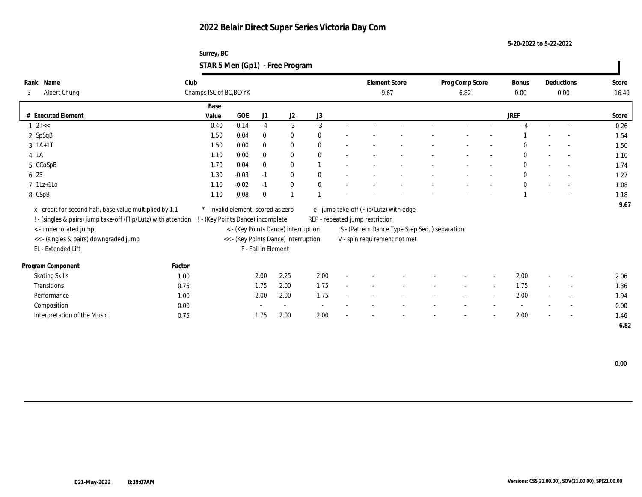**Surrey, BC STAR 5 Men (Gp1) - Free Program**

| Name<br>Rank                                                   | Club   |                                     |         |                     |                                      |              |                                 | <b>Element Score</b>                          | Prog Comp Score |                          | <b>Bonus</b> |        | Deductions               | Score |
|----------------------------------------------------------------|--------|-------------------------------------|---------|---------------------|--------------------------------------|--------------|---------------------------------|-----------------------------------------------|-----------------|--------------------------|--------------|--------|--------------------------|-------|
| Albert Chung<br>3                                              |        | Champs ISC of BC, BC/YK             |         |                     |                                      |              |                                 | 9.67                                          | 6.82            |                          | 0.00         |        | 0.00                     | 16.49 |
|                                                                |        | Base                                |         |                     |                                      |              |                                 |                                               |                 |                          |              |        |                          |       |
| # Executed Element                                             |        | Value                               | GOE     | J1                  | J2                                   | J3           |                                 |                                               |                 |                          | <b>JREF</b>  |        |                          | Score |
| $1 \text{ } 2T <$                                              |        | 0.40                                | $-0.14$ | $-4$                | $-3$                                 | $-3$         |                                 |                                               |                 |                          |              |        |                          | 0.26  |
| 2 SpSqB                                                        |        | 1.50                                | 0.04    | $\bf{0}$            | $\bf{0}$                             | $\mathbf{0}$ |                                 |                                               |                 |                          |              |        | $\overline{a}$           | 1.54  |
| $3 \; 1A+1T$                                                   |        | 1.50                                | 0.00    | $\bf{0}$            | $\bf{0}$                             | $\theta$     |                                 |                                               |                 |                          | $\Omega$     |        | $\sim$                   | 1.50  |
| 4 1 A                                                          |        | 1.10                                | 0.00    | $\bf{0}$            | $\bf{0}$                             | $\mathbf{0}$ |                                 |                                               |                 |                          | $\mathbf{0}$ |        | $\sim$                   | 1.10  |
| 5 CCoSpB                                                       |        | 1.70                                | 0.04    | $\mathbf{0}$        | $\bf{0}$                             |              |                                 |                                               |                 |                          | $\mathbf{0}$ |        | $\sim$                   | 1.74  |
| 6 2S                                                           |        | 1.30                                | $-0.03$ | $-1$                | $\bf{0}$                             | $\mathbf{0}$ |                                 |                                               |                 |                          | $\mathbf{0}$ |        | $\overline{\phantom{a}}$ | 1.27  |
| $7$ 1Lz+1Lo                                                    |        | 1.10                                | $-0.02$ | $-1$                | $\mathbf{0}$                         | $\theta$     |                                 |                                               |                 |                          | $\Omega$     |        | $\sim$                   | 1.08  |
| 8 CSpB                                                         |        | 1.10                                | 0.08    | $\bf{0}$            | $\mathbf{1}$                         |              |                                 |                                               |                 |                          |              |        |                          | 1.18  |
| x - credit for second half, base value multiplied by 1.1       |        | * - invalid element, scored as zero |         |                     |                                      |              |                                 | e - jump take-off (Flip/Lutz) with edge       |                 |                          |              |        |                          | 9.67  |
| ! - (singles & pairs) jump take-off (Flip/Lutz) with attention |        | (Key Points Dance) incomplete       |         |                     |                                      |              | REP - repeated jump restriction |                                               |                 |                          |              |        |                          |       |
| <- underrotated jump                                           |        |                                     |         |                     | < - (Key Points Dance) interruption  |              |                                 | S - (Pattern Dance Type Step Seq.) separation |                 |                          |              |        |                          |       |
| << - (singles & pairs) downgraded jump                         |        |                                     |         |                     | << - (Key Points Dance) interruption |              |                                 | V - spin requirement not met                  |                 |                          |              |        |                          |       |
| EL - Extended Lift                                             |        |                                     |         | F - Fall in Element |                                      |              |                                 |                                               |                 |                          |              |        |                          |       |
|                                                                |        |                                     |         |                     |                                      |              |                                 |                                               |                 |                          |              |        |                          |       |
| Program Component                                              | Factor |                                     |         | 2.00                | 2.25                                 | 2.00         |                                 |                                               |                 |                          | 2.00         |        |                          |       |
| <b>Skating Skills</b>                                          | 1.00   |                                     |         |                     |                                      |              |                                 |                                               |                 |                          |              |        | $\overline{\phantom{a}}$ | 2.06  |
| Transitions                                                    | 0.75   |                                     |         | 1.75                | 2.00                                 | 1.75         |                                 |                                               | $\sim$          | $\sim$                   | 1.75         | $\sim$ | $\sim$                   | 1.36  |
| Performance                                                    | 1.00   |                                     |         | 2.00                | 2.00                                 | 1.75         |                                 |                                               |                 | $\overline{\phantom{a}}$ | 2.00         |        | $\overline{\phantom{a}}$ | 1.94  |
| Composition                                                    | 0.00   |                                     |         |                     | $\overline{\phantom{a}}$             |              |                                 |                                               |                 |                          |              |        | $\overline{\phantom{a}}$ | 0.00  |
| Interpretation of the Music                                    | 0.75   |                                     |         | 1.75                | 2.00                                 | 2.00         |                                 |                                               |                 |                          | 2.00         |        | $\overline{\phantom{a}}$ | 1.46  |
|                                                                |        |                                     |         |                     |                                      |              |                                 |                                               |                 |                          |              |        |                          | 6.82  |

 **0.00**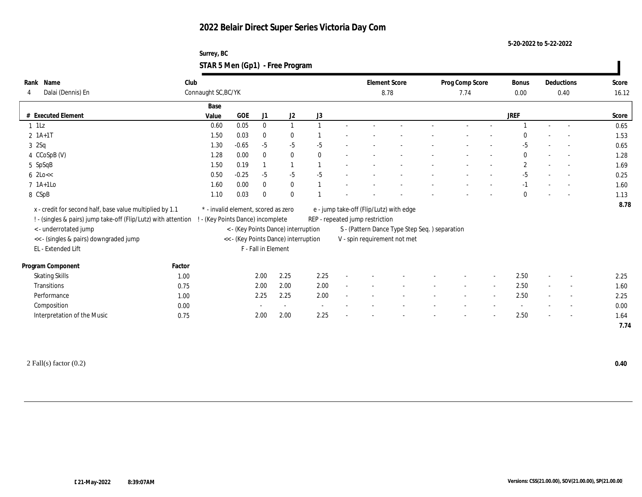**Surrey, BC STAR 5 Men (Gp1) - Free Program**

| Name<br>Rank                                                   | Club                |                                     |                          |                                      |              | <b>Element Score</b>            |                                               | Prog Comp Score |        | Bonus        |                          | Deductions               | Score |
|----------------------------------------------------------------|---------------------|-------------------------------------|--------------------------|--------------------------------------|--------------|---------------------------------|-----------------------------------------------|-----------------|--------|--------------|--------------------------|--------------------------|-------|
| Dalai (Dennis) En<br>4                                         | Connaught SC, BC/YK |                                     |                          |                                      |              |                                 | 8.78                                          | 7.74            |        | 0.00         |                          | 0.40                     | 16.12 |
|                                                                | Base                |                                     |                          |                                      |              |                                 |                                               |                 |        |              |                          |                          |       |
| # Executed Element                                             | Value               | <b>GOE</b>                          | J1                       | J2                                   | J3           |                                 |                                               |                 |        | <b>JREF</b>  |                          |                          | Score |
| $1$ 1Lz                                                        | 0.60                | 0.05                                | $\bf{0}$                 | $\mathbf{1}$                         |              |                                 |                                               |                 |        |              |                          | $\sim$                   | 0.65  |
| $2 \; 1A+1T$                                                   | 1.50                | 0.03                                | $\bf{0}$                 | $\bf{0}$                             |              |                                 |                                               |                 |        | $\Omega$     |                          | $\overline{\phantom{a}}$ | 1.53  |
| 32Sq                                                           | 1.30                | $-0.65$                             | $-5$                     | $-5$                                 | $-5$         |                                 |                                               |                 |        | $-5$         |                          | $\overline{\phantom{a}}$ | 0.65  |
| 4 CCoSpB (V)                                                   | 1.28                | 0.00                                | $\mathbf{0}$             | $\mathbf{0}$                         | $\mathbf{0}$ |                                 |                                               |                 |        | $\mathbf{0}$ |                          | $\overline{\phantom{a}}$ | 1.28  |
| 5 SpSqB                                                        | 1.50                | 0.19                                |                          | $\mathbf{1}$                         |              |                                 |                                               |                 |        | $\mathbf{2}$ |                          |                          | 1.69  |
| $6$ 2Lo $<<$                                                   | 0.50                | $-0.25$                             | $-5$                     | $-5$                                 | $-5$         |                                 |                                               |                 |        | $-5$         |                          | $\sim$                   | 0.25  |
| $7$ 1A+1Lo                                                     | 1.60                | 0.00                                | $\bf{0}$                 | $\bf{0}$                             |              |                                 |                                               |                 |        | $-1$         |                          | $\overline{\phantom{a}}$ | 1.60  |
| 8 CSpB                                                         | 1.10                | 0.03                                | $\bf{0}$                 | $\bf{0}$                             |              |                                 |                                               |                 |        | $\Omega$     |                          |                          | 1.13  |
| x - credit for second half, base value multiplied by 1.1       |                     | * - invalid element, scored as zero |                          |                                      |              |                                 | e - jump take-off (Flip/Lutz) with edge       |                 |        |              |                          |                          | 8.78  |
| ! - (singles & pairs) jump take-off (Flip/Lutz) with attention |                     | (Key Points Dance) incomplete       |                          |                                      |              | REP - repeated jump restriction |                                               |                 |        |              |                          |                          |       |
| <- underrotated jump                                           |                     |                                     |                          | < - (Key Points Dance) interruption  |              |                                 | S - (Pattern Dance Type Step Seq.) separation |                 |        |              |                          |                          |       |
| << - (singles & pairs) downgraded jump                         |                     |                                     |                          | << - (Key Points Dance) interruption |              |                                 | V - spin requirement not met                  |                 |        |              |                          |                          |       |
| EL - Extended Lift                                             |                     |                                     | F - Fall in Element      |                                      |              |                                 |                                               |                 |        |              |                          |                          |       |
|                                                                |                     |                                     |                          |                                      |              |                                 |                                               |                 |        |              |                          |                          |       |
| Program Component                                              | Factor              |                                     |                          |                                      |              |                                 |                                               |                 |        |              |                          |                          |       |
| <b>Skating Skills</b>                                          | 1.00                |                                     | 2.00                     | 2.25                                 | 2.25         |                                 |                                               |                 |        | 2.50         |                          | $\overline{\phantom{a}}$ | 2.25  |
| Transitions                                                    | 0.75                |                                     | 2.00                     | 2.00                                 | 2.00         |                                 |                                               |                 | $\sim$ | 2.50         | $\sim$                   | $\sim$                   | 1.60  |
| Performance                                                    | 1.00                |                                     | 2.25                     | 2.25                                 | 2.00         |                                 |                                               |                 | $\sim$ | 2.50         | $\overline{\phantom{a}}$ | $\overline{\phantom{a}}$ | 2.25  |
| Composition                                                    | 0.00                |                                     | $\overline{\phantom{a}}$ | $\sim$                               | $\sim$       |                                 |                                               |                 |        |              |                          | $\sim$                   | 0.00  |
| Interpretation of the Music                                    | 0.75                |                                     | 2.00                     | 2.00                                 | 2.25         |                                 |                                               |                 |        | 2.50         |                          | $\sim$                   | 1.64  |
|                                                                |                     |                                     |                          |                                      |              |                                 |                                               |                 |        |              |                          |                          | 7.74  |
|                                                                |                     |                                     |                          |                                      |              |                                 |                                               |                 |        |              |                          |                          |       |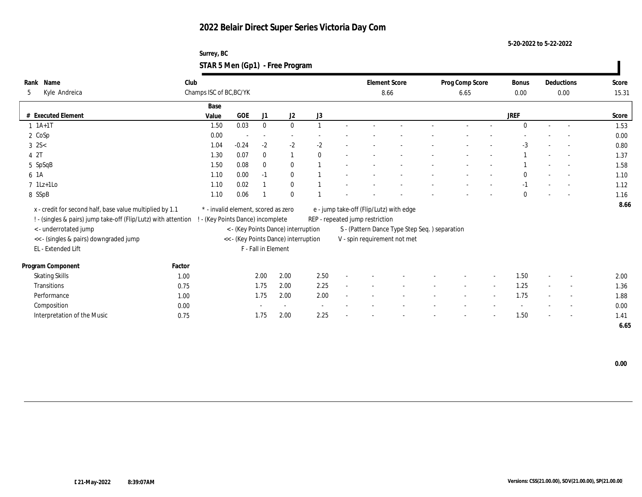**Surrey, BC STAR 5 Men (Gp1) - Free Program**

| Name<br>Rank                                                   | Club   |                                     |            |                     |                                      |                          |        |                                 | <b>Element Score</b>                          | Prog Comp Score          |                          | <b>Bonus</b> |        | Deductions               | Score |
|----------------------------------------------------------------|--------|-------------------------------------|------------|---------------------|--------------------------------------|--------------------------|--------|---------------------------------|-----------------------------------------------|--------------------------|--------------------------|--------------|--------|--------------------------|-------|
| Kyle Andreica<br>5                                             |        | Champs ISC of BC, BC/YK             |            |                     |                                      |                          |        |                                 | 8.66                                          | 6.65                     |                          | 0.00         |        | 0.00                     | 15.31 |
|                                                                |        | Base                                |            |                     |                                      |                          |        |                                 |                                               |                          |                          |              |        |                          |       |
| # Executed Element                                             |        | Value                               | <b>GOE</b> | J1                  | J2                                   | J3                       |        |                                 |                                               |                          |                          | <b>JREF</b>  |        |                          | Score |
| $1 \t1A+1T$                                                    |        | 1.50                                | 0.03       | $\bf{0}$            | $\bf{0}$                             |                          |        |                                 |                                               |                          |                          | $\theta$     |        |                          | 1.53  |
| 2 CoSp                                                         |        | 0.00                                |            | $\sim$              |                                      |                          |        |                                 |                                               |                          |                          |              |        |                          | 0.00  |
| $3 \, 2S <$                                                    |        | 1.04                                | $-0.24$    | $-2$                | $-2$                                 | $-2$                     |        |                                 |                                               |                          |                          | $-3$         |        | $\sim$                   | 0.80  |
| 4 2T                                                           |        | 1.30                                | 0.07       | $\mathbf{0}$        | $\mathbf{1}$                         | $\theta$                 |        |                                 |                                               |                          |                          |              |        | $\overline{\phantom{a}}$ | 1.37  |
| 5 SpSqB                                                        |        | 1.50                                | 0.08       | $\mathbf{0}$        | $\bf{0}$                             |                          |        |                                 |                                               |                          |                          |              |        |                          | 1.58  |
| 6 1A                                                           |        | 1.10                                | 0.00       | $-1$                | $\bf{0}$                             |                          |        |                                 |                                               |                          |                          | $\mathbf{0}$ |        |                          | 1.10  |
| $7 \text{ 1Lz+1Lo}$                                            |        | 1.10                                | 0.02       |                     | $\bf{0}$                             |                          |        |                                 |                                               |                          |                          | $-1$         |        | $\sim$                   | 1.12  |
| 8 SSpB                                                         |        | 1.10                                | 0.06       |                     | $\mathbf{0}$                         |                          |        |                                 |                                               |                          |                          | $\mathbf{0}$ |        | $\overline{\phantom{a}}$ | 1.16  |
| x - credit for second half, base value multiplied by 1.1       |        | * - invalid element, scored as zero |            |                     |                                      |                          |        |                                 | e - jump take-off (Flip/Lutz) with edge       |                          |                          |              |        |                          | 8.66  |
| ! - (singles & pairs) jump take-off (Flip/Lutz) with attention |        | - (Key Points Dance) incomplete     |            |                     |                                      |                          |        | REP - repeated jump restriction |                                               |                          |                          |              |        |                          |       |
| <- underrotated jump                                           |        |                                     |            |                     | < - (Key Points Dance) interruption  |                          |        |                                 | S - (Pattern Dance Type Step Seq.) separation |                          |                          |              |        |                          |       |
| << - (singles & pairs) downgraded jump                         |        |                                     |            |                     | << - (Key Points Dance) interruption |                          |        |                                 | V - spin requirement not met                  |                          |                          |              |        |                          |       |
| EL - Extended Lift                                             |        |                                     |            | F - Fall in Element |                                      |                          |        |                                 |                                               |                          |                          |              |        |                          |       |
|                                                                |        |                                     |            |                     |                                      |                          |        |                                 |                                               |                          |                          |              |        |                          |       |
| Program Component                                              | Factor |                                     |            |                     |                                      |                          |        |                                 |                                               |                          |                          |              |        |                          |       |
| <b>Skating Skills</b>                                          | 1.00   |                                     |            | 2.00                | 2.00                                 | 2.50                     |        |                                 |                                               |                          |                          | 1.50         |        | $\overline{\phantom{a}}$ | 2.00  |
| Transitions                                                    | 0.75   |                                     |            | 1.75                | 2.00                                 | 2.25                     | $\sim$ |                                 |                                               | $\overline{\phantom{a}}$ | $\sim$                   | 1.25         | $\sim$ | $\sim$                   | 1.36  |
| Performance                                                    | 1.00   |                                     |            | 1.75                | 2.00                                 | 2.00                     |        |                                 |                                               |                          | $\overline{\phantom{a}}$ | 1.75         |        | $\overline{\phantom{a}}$ | 1.88  |
| Composition                                                    | 0.00   |                                     |            |                     |                                      | $\overline{\phantom{a}}$ |        |                                 |                                               |                          |                          |              |        | $\overline{\phantom{a}}$ | 0.00  |
| Interpretation of the Music                                    | 0.75   |                                     |            | 1.75                | 2.00                                 | 2.25                     |        |                                 |                                               |                          |                          | 1.50         |        | $\overline{\phantom{a}}$ | 1.41  |
|                                                                |        |                                     |            |                     |                                      |                          |        |                                 |                                               |                          |                          |              |        |                          | 6.65  |

 **0.00**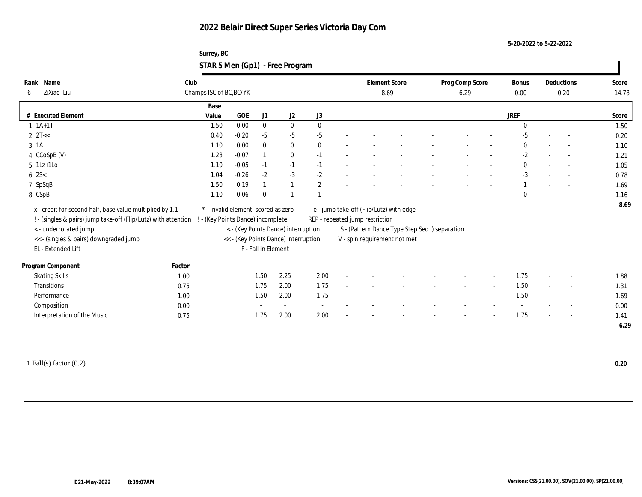**Surrey, BC STAR 5 Men (Gp1) - Free Program**

| Name<br>Rank                                                   | Club   |                                     |         |                          |                                      |                | <b>Element Score</b>            |                                               | Prog Comp Score |                          | <b>Bonus</b> |                          | Deductions               | Score |
|----------------------------------------------------------------|--------|-------------------------------------|---------|--------------------------|--------------------------------------|----------------|---------------------------------|-----------------------------------------------|-----------------|--------------------------|--------------|--------------------------|--------------------------|-------|
| ZiXiao Liu<br>6                                                |        | Champs ISC of BC, BC/YK             |         |                          |                                      |                | 8.69                            |                                               | 6.29            |                          | 0.00         |                          | 0.20                     | 14.78 |
|                                                                |        | Base                                |         |                          |                                      |                |                                 |                                               |                 |                          |              |                          |                          |       |
| # Executed Element                                             |        | Value                               | GOE     | J1                       | J <sub>2</sub>                       | J3             |                                 |                                               |                 |                          | <b>JREF</b>  |                          |                          | Score |
| $1 \t1A+1T$                                                    |        | 1.50                                | 0.00    | $\bf{0}$                 | $\bf{0}$                             | $\theta$       |                                 |                                               |                 |                          | $\Omega$     |                          |                          | 1.50  |
| $2 \text{ } 2T <<$                                             |        | 0.40                                | $-0.20$ | $-5$                     | $-5$                                 | $-5$           |                                 |                                               |                 |                          | $-5$         |                          | $\sim$                   | 0.20  |
| $3 \text{ } 1A$                                                |        | 1.10                                | 0.00    | $\mathbf{0}$             | $\bf{0}$                             | $\mathbf{0}$   |                                 |                                               |                 |                          | $\Omega$     |                          | $\overline{a}$           | 1.10  |
| 4 CCoSpB (V)                                                   |        | 1.28                                | $-0.07$ |                          | $\bf{0}$                             | $-1$           |                                 |                                               |                 |                          | $-2$         |                          |                          | 1.21  |
| $5 \text{ } 1\text{Lz+1Lo}$                                    |        | 1.10                                | $-0.05$ | $-1$                     | $-1$                                 | $-1$           |                                 |                                               |                 |                          | $\mathbf{0}$ |                          |                          | 1.05  |
| $6 \, 2S <$                                                    |        | 1.04                                | $-0.26$ | $-2$                     | $-3$                                 | $-2$           |                                 |                                               |                 |                          | $-3$         |                          |                          | 0.78  |
| 7 SpSqB                                                        |        | 1.50                                | 0.19    |                          |                                      | $\overline{2}$ |                                 |                                               |                 |                          |              |                          |                          | 1.69  |
| 8 CSpB                                                         |        | 1.10                                | 0.06    | $\Omega$                 |                                      |                |                                 |                                               |                 |                          | $\Omega$     |                          |                          | 1.16  |
| x - credit for second half, base value multiplied by 1.1       |        | * - invalid element, scored as zero |         |                          |                                      |                |                                 | e - jump take-off (Flip/Lutz) with edge       |                 |                          |              |                          |                          | 8.69  |
| ! - (singles & pairs) jump take-off (Flip/Lutz) with attention |        | ! - (Key Points Dance) incomplete   |         |                          |                                      |                | REP - repeated jump restriction |                                               |                 |                          |              |                          |                          |       |
| < - underrotated jump                                          |        |                                     |         |                          | < - (Key Points Dance) interruption  |                |                                 | S - (Pattern Dance Type Step Seq.) separation |                 |                          |              |                          |                          |       |
| << - (singles & pairs) downgraded jump                         |        |                                     |         |                          | << - (Key Points Dance) interruption |                |                                 | V - spin requirement not met                  |                 |                          |              |                          |                          |       |
| EL - Extended Lift                                             |        |                                     |         | F - Fall in Element      |                                      |                |                                 |                                               |                 |                          |              |                          |                          |       |
|                                                                |        |                                     |         |                          |                                      |                |                                 |                                               |                 |                          |              |                          |                          |       |
| Program Component                                              | Factor |                                     |         |                          |                                      |                |                                 |                                               |                 |                          |              |                          |                          |       |
| <b>Skating Skills</b>                                          | 1.00   |                                     |         | 1.50                     | 2.25                                 | 2.00           |                                 |                                               |                 |                          | 1.75         |                          | $\overline{\phantom{a}}$ | 1.88  |
| Transitions                                                    | 0.75   |                                     |         | 1.75                     | 2.00                                 | 1.75           |                                 |                                               |                 | $\sim$                   | 1.50         | $\sim$                   | $\overline{\phantom{a}}$ | 1.31  |
| Performance                                                    | 1.00   |                                     |         | 1.50                     | 2.00                                 | 1.75           |                                 |                                               |                 | $\overline{\phantom{a}}$ | 1.50         | $\overline{\phantom{a}}$ | $\sim$                   | 1.69  |
| Composition                                                    | 0.00   |                                     |         | $\overline{\phantom{a}}$ | $\sim$                               | $\sim$         |                                 |                                               |                 |                          |              |                          | $\overline{\phantom{a}}$ | 0.00  |
| Interpretation of the Music                                    | 0.75   |                                     |         | 1.75                     | 2.00                                 | 2.00           |                                 |                                               |                 |                          | 1.75         |                          | $\sim$                   | 1.41  |
|                                                                |        |                                     |         |                          |                                      |                |                                 |                                               |                 |                          |              |                          |                          | 6.29  |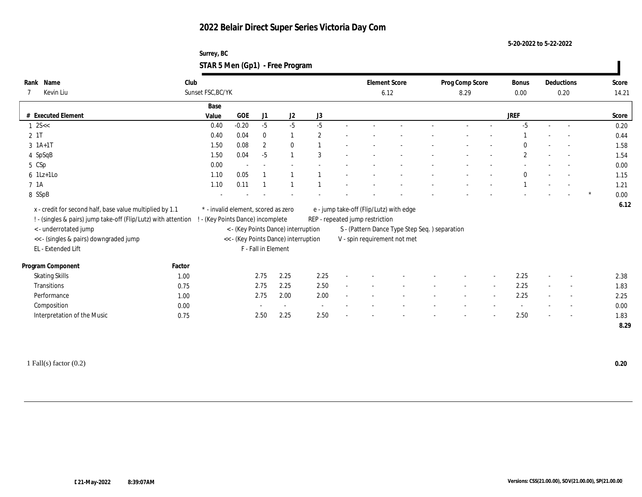**Surrey, BC STAR 5 Men (Gp1) - Free Program**

| Name<br>Rank                                                     | Club              |       |                                     |                     |                                      |                          |                                 | <b>Element Score</b>                          | Prog Comp Score | Bonus        | Deductions               | Score |
|------------------------------------------------------------------|-------------------|-------|-------------------------------------|---------------------|--------------------------------------|--------------------------|---------------------------------|-----------------------------------------------|-----------------|--------------|--------------------------|-------|
| Kevin Liu                                                        | Sunset FSC, BC/YK |       |                                     |                     |                                      |                          |                                 | 6.12                                          | 8.29            | 0.00         | 0.20                     | 14.21 |
|                                                                  |                   | Base  |                                     |                     |                                      |                          |                                 |                                               |                 |              |                          |       |
| # Executed Element                                               |                   | Value | GOE                                 | J1                  | J2                                   | J3                       |                                 |                                               |                 | <b>JREF</b>  |                          | Score |
| $1 \text{ } 2S <<$                                               |                   | 0.40  | $-0.20$                             | $-5$                | $-5$                                 | $-5$                     |                                 |                                               |                 | $-5$         |                          | 0.20  |
| 2 1T                                                             |                   | 0.40  | 0.04                                | $\mathbf{0}$        |                                      | $\overline{2}$           |                                 |                                               |                 |              | $\overline{\phantom{a}}$ | 0.44  |
| $3 \; 1A+1T$                                                     |                   | 1.50  | 0.08                                | $\overline{2}$      | $\mathbf{0}$                         |                          |                                 |                                               |                 | $\Omega$     | $\overline{\phantom{a}}$ | 1.58  |
| 4 SpSqB                                                          |                   | 1.50  | 0.04                                | $-5$                |                                      | 3                        |                                 |                                               |                 | $\mathbf{2}$ | $\overline{\phantom{a}}$ | 1.54  |
| 5 CSp                                                            |                   | 0.00  | $\overline{\phantom{a}}$            |                     |                                      |                          |                                 |                                               |                 |              |                          | 0.00  |
| $6$ 1Lz+1Lo                                                      |                   | 1.10  | 0.05                                |                     |                                      |                          |                                 |                                               |                 | $\bf{0}$     |                          | 1.15  |
| 7 <sub>1A</sub>                                                  |                   | 1.10  | 0.11                                |                     |                                      |                          |                                 |                                               |                 |              | $\overline{\phantom{a}}$ | 1.21  |
| 8 SSpB                                                           |                   |       |                                     |                     |                                      |                          |                                 |                                               |                 |              |                          | 0.00  |
| x - credit for second half, base value multiplied by 1.1         |                   |       | * - invalid element, scored as zero |                     |                                      |                          |                                 | e - jump take-off (Flip/Lutz) with edge       |                 |              |                          | 6.12  |
| ! - (singles & pairs) jump take-off (Flip/Lutz) with attention ! |                   |       | - (Key Points Dance) incomplete     |                     |                                      |                          | REP - repeated jump restriction |                                               |                 |              |                          |       |
| <- underrotated jump                                             |                   |       |                                     |                     | < - (Key Points Dance) interruption  |                          |                                 | S - (Pattern Dance Type Step Seq.) separation |                 |              |                          |       |
| << - (singles & pairs) downgraded jump                           |                   |       |                                     |                     | << - (Key Points Dance) interruption |                          |                                 | V - spin requirement not met                  |                 |              |                          |       |
| EL - Extended Lift                                               |                   |       |                                     | F - Fall in Element |                                      |                          |                                 |                                               |                 |              |                          |       |
|                                                                  |                   |       |                                     |                     |                                      |                          |                                 |                                               |                 |              |                          |       |
| Program Component                                                | Factor            |       |                                     | 2.75                | 2.25                                 | 2.25                     |                                 |                                               |                 | 2.25         |                          |       |
| <b>Skating Skills</b>                                            | 1.00              |       |                                     |                     |                                      |                          |                                 |                                               |                 |              |                          | 2.38  |
| Transitions                                                      | 0.75              |       |                                     | 2.75                | 2.25                                 | 2.50                     |                                 |                                               |                 | 2.25         | $\sim$                   | 1.83  |
| Performance                                                      | 1.00              |       |                                     | 2.75                | 2.00                                 | 2.00                     |                                 |                                               |                 | 2.25         | $\overline{\phantom{a}}$ | 2.25  |
| Composition                                                      | 0.00              |       |                                     |                     | $\overline{\phantom{a}}$             | $\overline{\phantom{a}}$ |                                 |                                               |                 |              | $\overline{\phantom{a}}$ | 0.00  |
| Interpretation of the Music                                      | 0.75              |       |                                     | 2.50                | 2.25                                 | 2.50                     |                                 |                                               |                 | 2.50         | $\overline{\phantom{a}}$ | 1.83  |
|                                                                  |                   |       |                                     |                     |                                      |                          |                                 |                                               |                 |              |                          | 8.29  |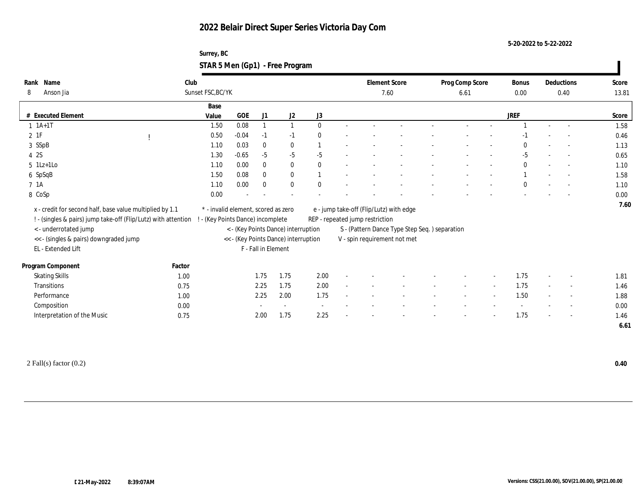**Surrey, BC STAR 5 Men (Gp1) - Free Program**

| Name<br>Rank                                                   | Club   |                                     |         |                          |                                      |              |        |                                 | <b>Element Score</b>                          | Prog Comp Score |        | <b>Bonus</b> |        | Deductions               | Score |
|----------------------------------------------------------------|--------|-------------------------------------|---------|--------------------------|--------------------------------------|--------------|--------|---------------------------------|-----------------------------------------------|-----------------|--------|--------------|--------|--------------------------|-------|
| 8<br>Anson Jia                                                 |        | Sunset FSC, BC/YK                   |         |                          |                                      |              |        |                                 | 7.60                                          | 6.61            |        | 0.00         |        | 0.40                     | 13.81 |
|                                                                |        | Base                                |         |                          |                                      |              |        |                                 |                                               |                 |        |              |        |                          |       |
| # Executed Element                                             |        | Value                               | GOE     | J <sub>1</sub>           | J2                                   | J3           |        |                                 |                                               |                 |        | <b>JREF</b>  |        |                          | Score |
| $1 \t1A+1T$                                                    |        | 1.50                                | 0.08    | $\mathbf{1}$             |                                      | $\theta$     |        |                                 |                                               |                 |        |              |        |                          | 1.58  |
| 2 1F                                                           |        | 0.50                                | $-0.04$ | $-1$                     | $-1$                                 | $\theta$     |        |                                 |                                               |                 |        | -1           |        | $\overline{\phantom{a}}$ | 0.46  |
| 3 SSpB                                                         |        | 1.10                                | 0.03    | $\bf{0}$                 | $\bf{0}$                             |              | ٠      |                                 |                                               |                 |        | $\mathbf{0}$ |        | $\sim$                   | 1.13  |
| 4 2S                                                           |        | 1.30                                | $-0.65$ | $-5$                     | $-5$                                 | $-5$         |        |                                 |                                               |                 |        | $-5$         |        | $\overline{\phantom{a}}$ | 0.65  |
| $5$ 1Lz+1Lo                                                    |        | 1.10                                | 0.00    | $\mathbf{0}$             | $\bf{0}$                             | $\mathbf{0}$ |        |                                 |                                               |                 |        | $\mathbf{0}$ |        | $\overline{\phantom{a}}$ | 1.10  |
| 6 SpSqB                                                        |        | 1.50                                | 0.08    | $\mathbf{0}$             | $\bf{0}$                             |              |        |                                 |                                               |                 |        |              |        |                          | 1.58  |
| 7 1A                                                           |        | 1.10                                | 0.00    | $\mathbf{0}$             | $\mathbf{0}$                         | $\theta$     |        |                                 |                                               |                 |        | $\theta$     |        | $\overline{\phantom{a}}$ | 1.10  |
| 8 CoSp                                                         |        | 0.00                                |         |                          |                                      |              |        |                                 |                                               |                 |        |              |        |                          | 0.00  |
| x - credit for second half, base value multiplied by 1.1       |        | * - invalid element, scored as zero |         |                          |                                      |              |        |                                 | e - jump take-off (Flip/Lutz) with edge       |                 |        |              |        |                          | 7.60  |
| ! - (singles & pairs) jump take-off (Flip/Lutz) with attention |        | - (Key Points Dance) incomplete     |         |                          |                                      |              |        | REP - repeated jump restriction |                                               |                 |        |              |        |                          |       |
| <- underrotated jump                                           |        |                                     |         |                          | < - (Key Points Dance) interruption  |              |        |                                 | S - (Pattern Dance Type Step Seq.) separation |                 |        |              |        |                          |       |
| << - (singles & pairs) downgraded jump                         |        |                                     |         |                          | << - (Key Points Dance) interruption |              |        |                                 | V - spin requirement not met                  |                 |        |              |        |                          |       |
| EL - Extended Lift                                             |        |                                     |         | F - Fall in Element      |                                      |              |        |                                 |                                               |                 |        |              |        |                          |       |
|                                                                |        |                                     |         |                          |                                      |              |        |                                 |                                               |                 |        |              |        |                          |       |
| Program Component                                              | Factor |                                     |         |                          |                                      |              |        |                                 |                                               |                 |        |              |        |                          |       |
| <b>Skating Skills</b>                                          | 1.00   |                                     |         | 1.75                     | 1.75                                 | 2.00         |        |                                 |                                               |                 |        | 1.75         |        | $\overline{\phantom{a}}$ | 1.81  |
| Transitions                                                    | 0.75   |                                     |         | 2.25                     | 1.75                                 | 2.00         | $\sim$ |                                 |                                               |                 | $\sim$ | 1.75         | $\sim$ | $\overline{\phantom{a}}$ | 1.46  |
| Performance                                                    | 1.00   |                                     |         | 2.25                     | 2.00                                 | 1.75         |        |                                 |                                               |                 | $\sim$ | 1.50         | $\sim$ | $\sim$                   | 1.88  |
| Composition                                                    | 0.00   |                                     |         | $\overline{\phantom{a}}$ | $\sim$                               | $\sim$       |        |                                 |                                               |                 |        |              |        | $\overline{\phantom{a}}$ | 0.00  |
| Interpretation of the Music                                    | 0.75   |                                     |         | 2.00                     | 1.75                                 | 2.25         | ٠      |                                 |                                               |                 |        | 1.75         |        | $\overline{\phantom{a}}$ | 1.46  |
|                                                                |        |                                     |         |                          |                                      |              |        |                                 |                                               |                 |        |              |        |                          | 6.61  |
|                                                                |        |                                     |         |                          |                                      |              |        |                                 |                                               |                 |        |              |        |                          |       |